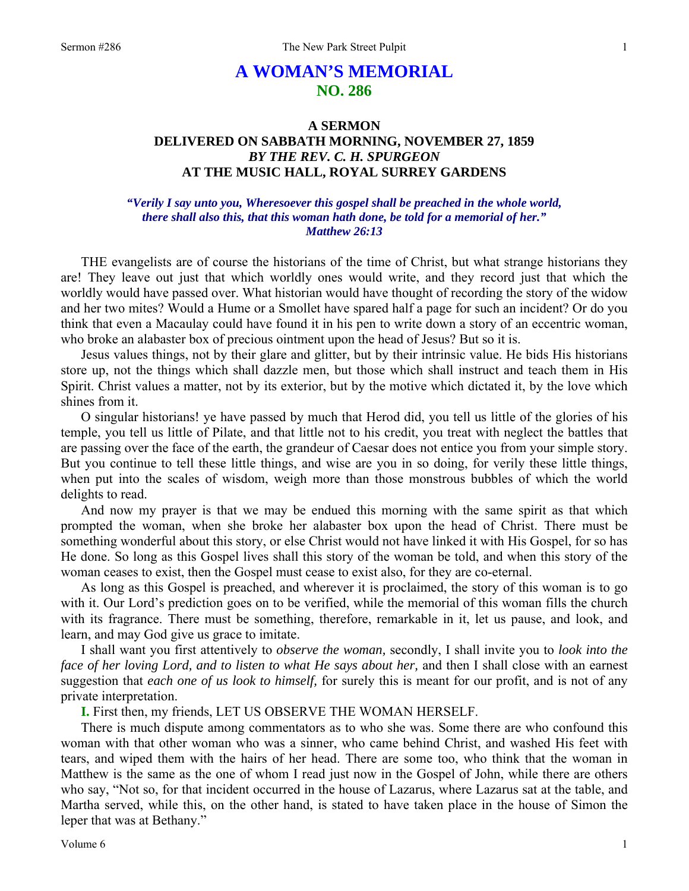# **A WOMAN'S MEMORIAL NO. 286**

## **A SERMON DELIVERED ON SABBATH MORNING, NOVEMBER 27, 1859**  *BY THE REV. C. H. SPURGEON*  **AT THE MUSIC HALL, ROYAL SURREY GARDENS**

### *"Verily I say unto you, Wheresoever this gospel shall be preached in the whole world, there shall also this, that this woman hath done, be told for a memorial of her." Matthew 26:13*

THE evangelists are of course the historians of the time of Christ, but what strange historians they are! They leave out just that which worldly ones would write, and they record just that which the worldly would have passed over. What historian would have thought of recording the story of the widow and her two mites? Would a Hume or a Smollet have spared half a page for such an incident? Or do you think that even a Macaulay could have found it in his pen to write down a story of an eccentric woman, who broke an alabaster box of precious ointment upon the head of Jesus? But so it is.

Jesus values things, not by their glare and glitter, but by their intrinsic value. He bids His historians store up, not the things which shall dazzle men, but those which shall instruct and teach them in His Spirit. Christ values a matter, not by its exterior, but by the motive which dictated it, by the love which shines from it.

O singular historians! ye have passed by much that Herod did, you tell us little of the glories of his temple, you tell us little of Pilate, and that little not to his credit, you treat with neglect the battles that are passing over the face of the earth, the grandeur of Caesar does not entice you from your simple story. But you continue to tell these little things, and wise are you in so doing, for verily these little things, when put into the scales of wisdom, weigh more than those monstrous bubbles of which the world delights to read.

And now my prayer is that we may be endued this morning with the same spirit as that which prompted the woman, when she broke her alabaster box upon the head of Christ. There must be something wonderful about this story, or else Christ would not have linked it with His Gospel, for so has He done. So long as this Gospel lives shall this story of the woman be told, and when this story of the woman ceases to exist, then the Gospel must cease to exist also, for they are co-eternal.

As long as this Gospel is preached, and wherever it is proclaimed, the story of this woman is to go with it. Our Lord's prediction goes on to be verified, while the memorial of this woman fills the church with its fragrance. There must be something, therefore, remarkable in it, let us pause, and look, and learn, and may God give us grace to imitate.

I shall want you first attentively to *observe the woman,* secondly, I shall invite you to *look into the face of her loving Lord, and to listen to what He says about her,* and then I shall close with an earnest suggestion that *each one of us look to himself,* for surely this is meant for our profit, and is not of any private interpretation.

**I.** First then, my friends, LET US OBSERVE THE WOMAN HERSELF.

There is much dispute among commentators as to who she was. Some there are who confound this woman with that other woman who was a sinner, who came behind Christ, and washed His feet with tears, and wiped them with the hairs of her head. There are some too, who think that the woman in Matthew is the same as the one of whom I read just now in the Gospel of John, while there are others who say, "Not so, for that incident occurred in the house of Lazarus, where Lazarus sat at the table, and Martha served, while this, on the other hand, is stated to have taken place in the house of Simon the leper that was at Bethany."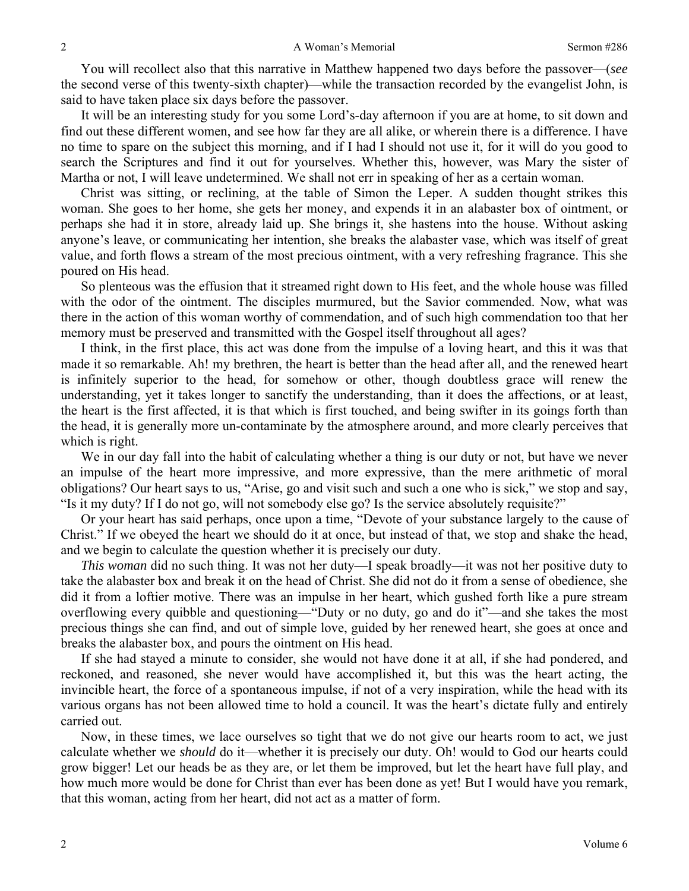You will recollect also that this narrative in Matthew happened two days before the passover—(*see* the second verse of this twenty-sixth chapter)—while the transaction recorded by the evangelist John, is said to have taken place six days before the passover.

It will be an interesting study for you some Lord's-day afternoon if you are at home, to sit down and find out these different women, and see how far they are all alike, or wherein there is a difference. I have no time to spare on the subject this morning, and if I had I should not use it, for it will do you good to search the Scriptures and find it out for yourselves. Whether this, however, was Mary the sister of Martha or not, I will leave undetermined. We shall not err in speaking of her as a certain woman.

Christ was sitting, or reclining, at the table of Simon the Leper. A sudden thought strikes this woman. She goes to her home, she gets her money, and expends it in an alabaster box of ointment, or perhaps she had it in store, already laid up. She brings it, she hastens into the house. Without asking anyone's leave, or communicating her intention, she breaks the alabaster vase, which was itself of great value, and forth flows a stream of the most precious ointment, with a very refreshing fragrance. This she poured on His head.

So plenteous was the effusion that it streamed right down to His feet, and the whole house was filled with the odor of the ointment. The disciples murmured, but the Savior commended. Now, what was there in the action of this woman worthy of commendation, and of such high commendation too that her memory must be preserved and transmitted with the Gospel itself throughout all ages?

I think, in the first place, this act was done from the impulse of a loving heart, and this it was that made it so remarkable. Ah! my brethren, the heart is better than the head after all, and the renewed heart is infinitely superior to the head, for somehow or other, though doubtless grace will renew the understanding, yet it takes longer to sanctify the understanding, than it does the affections, or at least, the heart is the first affected, it is that which is first touched, and being swifter in its goings forth than the head, it is generally more un-contaminate by the atmosphere around, and more clearly perceives that which is right.

We in our day fall into the habit of calculating whether a thing is our duty or not, but have we never an impulse of the heart more impressive, and more expressive, than the mere arithmetic of moral obligations? Our heart says to us, "Arise, go and visit such and such a one who is sick," we stop and say, "Is it my duty? If I do not go, will not somebody else go? Is the service absolutely requisite?"

Or your heart has said perhaps, once upon a time, "Devote of your substance largely to the cause of Christ." If we obeyed the heart we should do it at once, but instead of that, we stop and shake the head, and we begin to calculate the question whether it is precisely our duty.

*This woman* did no such thing. It was not her duty—I speak broadly—it was not her positive duty to take the alabaster box and break it on the head of Christ. She did not do it from a sense of obedience, she did it from a loftier motive. There was an impulse in her heart, which gushed forth like a pure stream overflowing every quibble and questioning—"Duty or no duty, go and do it"—and she takes the most precious things she can find, and out of simple love, guided by her renewed heart, she goes at once and breaks the alabaster box, and pours the ointment on His head.

If she had stayed a minute to consider, she would not have done it at all, if she had pondered, and reckoned, and reasoned, she never would have accomplished it, but this was the heart acting, the invincible heart, the force of a spontaneous impulse, if not of a very inspiration, while the head with its various organs has not been allowed time to hold a council. It was the heart's dictate fully and entirely carried out.

Now, in these times, we lace ourselves so tight that we do not give our hearts room to act, we just calculate whether we *should* do it—whether it is precisely our duty. Oh! would to God our hearts could grow bigger! Let our heads be as they are, or let them be improved, but let the heart have full play, and how much more would be done for Christ than ever has been done as yet! But I would have you remark, that this woman, acting from her heart, did not act as a matter of form.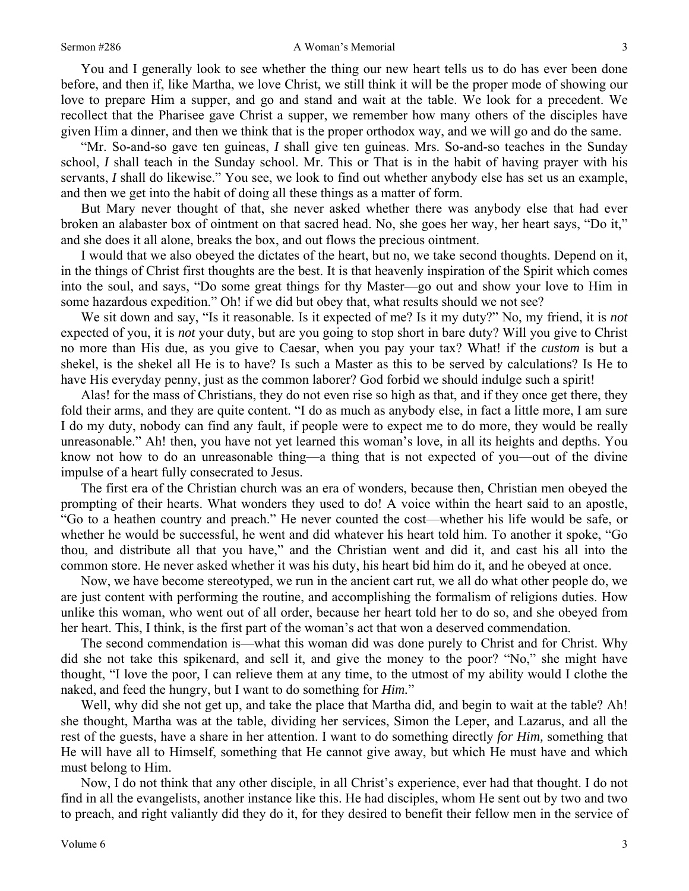#### Sermon #286 A Woman's Memorial

You and I generally look to see whether the thing our new heart tells us to do has ever been done before, and then if, like Martha, we love Christ, we still think it will be the proper mode of showing our love to prepare Him a supper, and go and stand and wait at the table. We look for a precedent. We recollect that the Pharisee gave Christ a supper, we remember how many others of the disciples have given Him a dinner, and then we think that is the proper orthodox way, and we will go and do the same.

"Mr. So-and-so gave ten guineas, *I* shall give ten guineas. Mrs. So-and-so teaches in the Sunday school, *I* shall teach in the Sunday school. Mr. This or That is in the habit of having prayer with his servants, *I* shall do likewise." You see, we look to find out whether anybody else has set us an example, and then we get into the habit of doing all these things as a matter of form.

But Mary never thought of that, she never asked whether there was anybody else that had ever broken an alabaster box of ointment on that sacred head. No, she goes her way, her heart says, "Do it," and she does it all alone, breaks the box, and out flows the precious ointment.

I would that we also obeyed the dictates of the heart, but no, we take second thoughts. Depend on it, in the things of Christ first thoughts are the best. It is that heavenly inspiration of the Spirit which comes into the soul, and says, "Do some great things for thy Master—go out and show your love to Him in some hazardous expedition." Oh! if we did but obey that, what results should we not see?

We sit down and say, "Is it reasonable. Is it expected of me? Is it my duty?" No, my friend, it is *not* expected of you, it is *not* your duty, but are you going to stop short in bare duty? Will you give to Christ no more than His due, as you give to Caesar, when you pay your tax? What! if the *custom* is but a shekel, is the shekel all He is to have? Is such a Master as this to be served by calculations? Is He to have His everyday penny, just as the common laborer? God forbid we should indulge such a spirit!

Alas! for the mass of Christians, they do not even rise so high as that, and if they once get there, they fold their arms, and they are quite content. "I do as much as anybody else, in fact a little more, I am sure I do my duty, nobody can find any fault, if people were to expect me to do more, they would be really unreasonable." Ah! then, you have not yet learned this woman's love, in all its heights and depths. You know not how to do an unreasonable thing—a thing that is not expected of you—out of the divine impulse of a heart fully consecrated to Jesus.

The first era of the Christian church was an era of wonders, because then, Christian men obeyed the prompting of their hearts. What wonders they used to do! A voice within the heart said to an apostle, "Go to a heathen country and preach." He never counted the cost—whether his life would be safe, or whether he would be successful, he went and did whatever his heart told him. To another it spoke, "Go thou, and distribute all that you have," and the Christian went and did it, and cast his all into the common store. He never asked whether it was his duty, his heart bid him do it, and he obeyed at once.

Now, we have become stereotyped, we run in the ancient cart rut, we all do what other people do, we are just content with performing the routine, and accomplishing the formalism of religions duties. How unlike this woman, who went out of all order, because her heart told her to do so, and she obeyed from her heart. This, I think, is the first part of the woman's act that won a deserved commendation.

The second commendation is—what this woman did was done purely to Christ and for Christ. Why did she not take this spikenard, and sell it, and give the money to the poor? "No," she might have thought, "I love the poor, I can relieve them at any time, to the utmost of my ability would I clothe the naked, and feed the hungry, but I want to do something for *Him.*"

Well, why did she not get up, and take the place that Martha did, and begin to wait at the table? Ah! she thought, Martha was at the table, dividing her services, Simon the Leper, and Lazarus, and all the rest of the guests, have a share in her attention. I want to do something directly *for Him,* something that He will have all to Himself, something that He cannot give away, but which He must have and which must belong to Him.

Now, I do not think that any other disciple, in all Christ's experience, ever had that thought. I do not find in all the evangelists, another instance like this. He had disciples, whom He sent out by two and two to preach, and right valiantly did they do it, for they desired to benefit their fellow men in the service of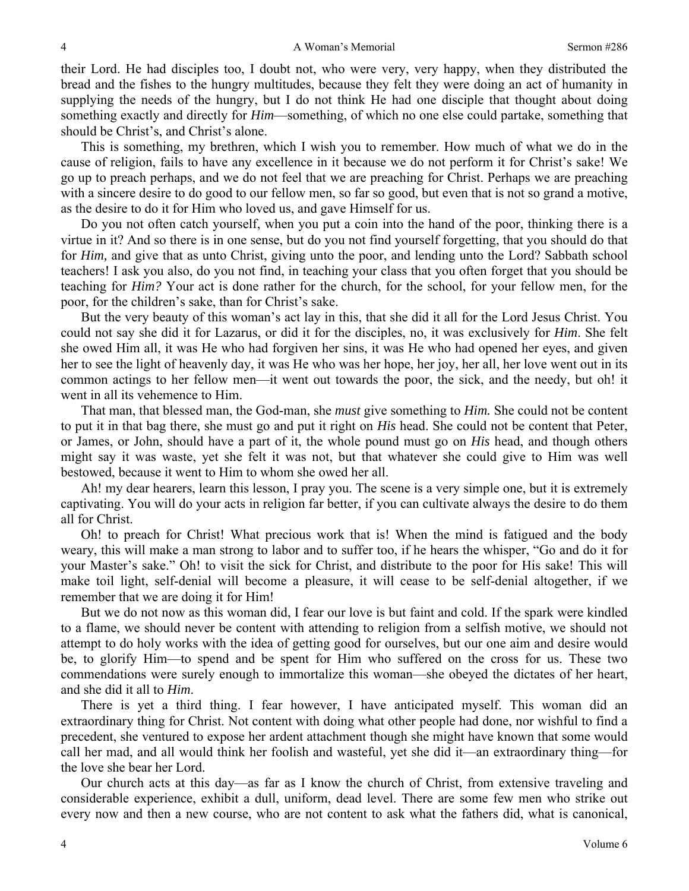their Lord. He had disciples too, I doubt not, who were very, very happy, when they distributed the bread and the fishes to the hungry multitudes, because they felt they were doing an act of humanity in supplying the needs of the hungry, but I do not think He had one disciple that thought about doing something exactly and directly for *Him*—something, of which no one else could partake, something that should be Christ's, and Christ's alone.

This is something, my brethren, which I wish you to remember. How much of what we do in the cause of religion, fails to have any excellence in it because we do not perform it for Christ's sake! We go up to preach perhaps, and we do not feel that we are preaching for Christ. Perhaps we are preaching with a sincere desire to do good to our fellow men, so far so good, but even that is not so grand a motive, as the desire to do it for Him who loved us, and gave Himself for us.

Do you not often catch yourself, when you put a coin into the hand of the poor, thinking there is a virtue in it? And so there is in one sense, but do you not find yourself forgetting, that you should do that for *Him,* and give that as unto Christ, giving unto the poor, and lending unto the Lord? Sabbath school teachers! I ask you also, do you not find, in teaching your class that you often forget that you should be teaching for *Him?* Your act is done rather for the church, for the school, for your fellow men, for the poor, for the children's sake, than for Christ's sake.

But the very beauty of this woman's act lay in this, that she did it all for the Lord Jesus Christ. You could not say she did it for Lazarus, or did it for the disciples, no, it was exclusively for *Him*. She felt she owed Him all, it was He who had forgiven her sins, it was He who had opened her eyes, and given her to see the light of heavenly day, it was He who was her hope, her joy, her all, her love went out in its common actings to her fellow men—it went out towards the poor, the sick, and the needy, but oh! it went in all its vehemence to Him.

That man, that blessed man, the God-man, she *must* give something to *Him.* She could not be content to put it in that bag there, she must go and put it right on *His* head. She could not be content that Peter, or James, or John, should have a part of it, the whole pound must go on *His* head, and though others might say it was waste, yet she felt it was not, but that whatever she could give to Him was well bestowed, because it went to Him to whom she owed her all.

Ah! my dear hearers, learn this lesson, I pray you. The scene is a very simple one, but it is extremely captivating. You will do your acts in religion far better, if you can cultivate always the desire to do them all for Christ.

Oh! to preach for Christ! What precious work that is! When the mind is fatigued and the body weary, this will make a man strong to labor and to suffer too, if he hears the whisper, "Go and do it for your Master's sake." Oh! to visit the sick for Christ, and distribute to the poor for His sake! This will make toil light, self-denial will become a pleasure, it will cease to be self-denial altogether, if we remember that we are doing it for Him!

But we do not now as this woman did, I fear our love is but faint and cold. If the spark were kindled to a flame, we should never be content with attending to religion from a selfish motive, we should not attempt to do holy works with the idea of getting good for ourselves, but our one aim and desire would be, to glorify Him—to spend and be spent for Him who suffered on the cross for us. These two commendations were surely enough to immortalize this woman—she obeyed the dictates of her heart, and she did it all to *Him*.

There is yet a third thing. I fear however, I have anticipated myself. This woman did an extraordinary thing for Christ. Not content with doing what other people had done, nor wishful to find a precedent, she ventured to expose her ardent attachment though she might have known that some would call her mad, and all would think her foolish and wasteful, yet she did it—an extraordinary thing—for the love she bear her Lord.

Our church acts at this day—as far as I know the church of Christ, from extensive traveling and considerable experience, exhibit a dull, uniform, dead level. There are some few men who strike out every now and then a new course, who are not content to ask what the fathers did, what is canonical,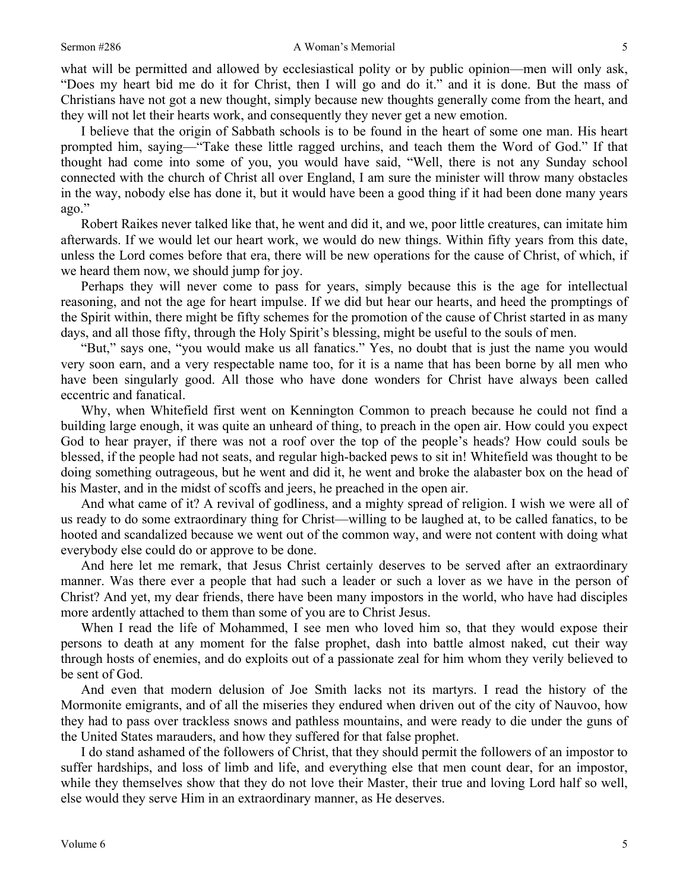what will be permitted and allowed by ecclesiastical polity or by public opinion—men will only ask, "Does my heart bid me do it for Christ, then I will go and do it." and it is done. But the mass of Christians have not got a new thought, simply because new thoughts generally come from the heart, and they will not let their hearts work, and consequently they never get a new emotion.

I believe that the origin of Sabbath schools is to be found in the heart of some one man. His heart prompted him, saying—"Take these little ragged urchins, and teach them the Word of God." If that thought had come into some of you, you would have said, "Well, there is not any Sunday school connected with the church of Christ all over England, I am sure the minister will throw many obstacles in the way, nobody else has done it, but it would have been a good thing if it had been done many years ago."

Robert Raikes never talked like that, he went and did it, and we, poor little creatures, can imitate him afterwards. If we would let our heart work, we would do new things. Within fifty years from this date, unless the Lord comes before that era, there will be new operations for the cause of Christ, of which, if we heard them now, we should jump for joy.

Perhaps they will never come to pass for years, simply because this is the age for intellectual reasoning, and not the age for heart impulse. If we did but hear our hearts, and heed the promptings of the Spirit within, there might be fifty schemes for the promotion of the cause of Christ started in as many days, and all those fifty, through the Holy Spirit's blessing, might be useful to the souls of men.

"But," says one, "you would make us all fanatics." Yes, no doubt that is just the name you would very soon earn, and a very respectable name too, for it is a name that has been borne by all men who have been singularly good. All those who have done wonders for Christ have always been called eccentric and fanatical.

Why, when Whitefield first went on Kennington Common to preach because he could not find a building large enough, it was quite an unheard of thing, to preach in the open air. How could you expect God to hear prayer, if there was not a roof over the top of the people's heads? How could souls be blessed, if the people had not seats, and regular high-backed pews to sit in! Whitefield was thought to be doing something outrageous, but he went and did it, he went and broke the alabaster box on the head of his Master, and in the midst of scoffs and jeers, he preached in the open air.

And what came of it? A revival of godliness, and a mighty spread of religion. I wish we were all of us ready to do some extraordinary thing for Christ—willing to be laughed at, to be called fanatics, to be hooted and scandalized because we went out of the common way, and were not content with doing what everybody else could do or approve to be done.

And here let me remark, that Jesus Christ certainly deserves to be served after an extraordinary manner. Was there ever a people that had such a leader or such a lover as we have in the person of Christ? And yet, my dear friends, there have been many impostors in the world, who have had disciples more ardently attached to them than some of you are to Christ Jesus.

When I read the life of Mohammed, I see men who loved him so, that they would expose their persons to death at any moment for the false prophet, dash into battle almost naked, cut their way through hosts of enemies, and do exploits out of a passionate zeal for him whom they verily believed to be sent of God.

And even that modern delusion of Joe Smith lacks not its martyrs. I read the history of the Mormonite emigrants, and of all the miseries they endured when driven out of the city of Nauvoo, how they had to pass over trackless snows and pathless mountains, and were ready to die under the guns of the United States marauders, and how they suffered for that false prophet.

I do stand ashamed of the followers of Christ, that they should permit the followers of an impostor to suffer hardships, and loss of limb and life, and everything else that men count dear, for an impostor, while they themselves show that they do not love their Master, their true and loving Lord half so well, else would they serve Him in an extraordinary manner, as He deserves.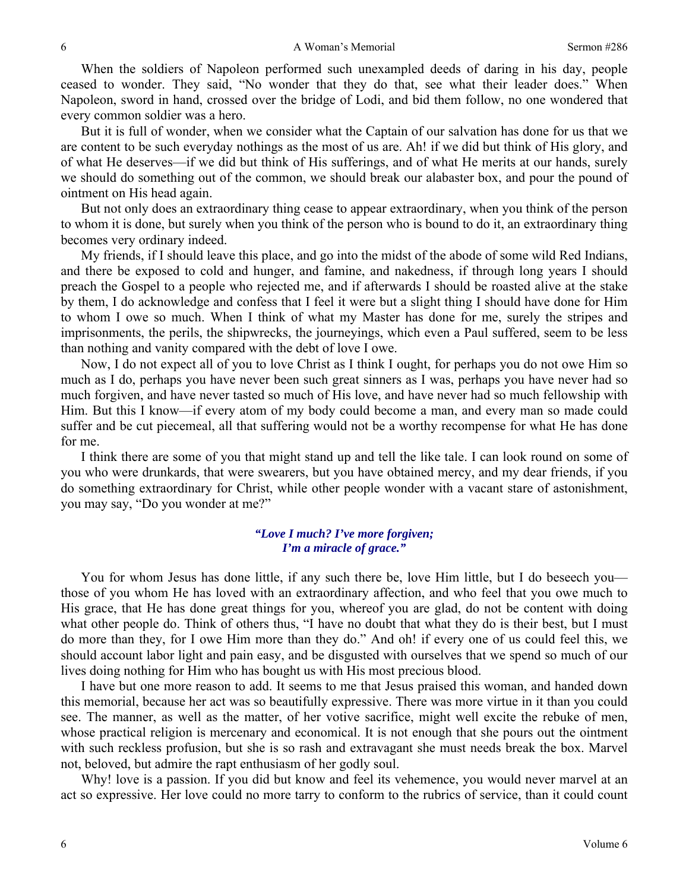When the soldiers of Napoleon performed such unexampled deeds of daring in his day, people ceased to wonder. They said, "No wonder that they do that, see what their leader does." When Napoleon, sword in hand, crossed over the bridge of Lodi, and bid them follow, no one wondered that every common soldier was a hero.

But it is full of wonder, when we consider what the Captain of our salvation has done for us that we are content to be such everyday nothings as the most of us are. Ah! if we did but think of His glory, and of what He deserves—if we did but think of His sufferings, and of what He merits at our hands, surely we should do something out of the common, we should break our alabaster box, and pour the pound of ointment on His head again.

But not only does an extraordinary thing cease to appear extraordinary, when you think of the person to whom it is done, but surely when you think of the person who is bound to do it, an extraordinary thing becomes very ordinary indeed.

My friends, if I should leave this place, and go into the midst of the abode of some wild Red Indians, and there be exposed to cold and hunger, and famine, and nakedness, if through long years I should preach the Gospel to a people who rejected me, and if afterwards I should be roasted alive at the stake by them, I do acknowledge and confess that I feel it were but a slight thing I should have done for Him to whom I owe so much. When I think of what my Master has done for me, surely the stripes and imprisonments, the perils, the shipwrecks, the journeyings, which even a Paul suffered, seem to be less than nothing and vanity compared with the debt of love I owe.

Now, I do not expect all of you to love Christ as I think I ought, for perhaps you do not owe Him so much as I do, perhaps you have never been such great sinners as I was, perhaps you have never had so much forgiven, and have never tasted so much of His love, and have never had so much fellowship with Him. But this I know—if every atom of my body could become a man, and every man so made could suffer and be cut piecemeal, all that suffering would not be a worthy recompense for what He has done for me.

I think there are some of you that might stand up and tell the like tale. I can look round on some of you who were drunkards, that were swearers, but you have obtained mercy, and my dear friends, if you do something extraordinary for Christ, while other people wonder with a vacant stare of astonishment, you may say, "Do you wonder at me?"

#### *"Love I much? I've more forgiven; I'm a miracle of grace."*

You for whom Jesus has done little, if any such there be, love Him little, but I do beseech you those of you whom He has loved with an extraordinary affection, and who feel that you owe much to His grace, that He has done great things for you, whereof you are glad, do not be content with doing what other people do. Think of others thus, "I have no doubt that what they do is their best, but I must do more than they, for I owe Him more than they do." And oh! if every one of us could feel this, we should account labor light and pain easy, and be disgusted with ourselves that we spend so much of our lives doing nothing for Him who has bought us with His most precious blood.

I have but one more reason to add. It seems to me that Jesus praised this woman, and handed down this memorial, because her act was so beautifully expressive. There was more virtue in it than you could see. The manner, as well as the matter, of her votive sacrifice, might well excite the rebuke of men, whose practical religion is mercenary and economical. It is not enough that she pours out the ointment with such reckless profusion, but she is so rash and extravagant she must needs break the box. Marvel not, beloved, but admire the rapt enthusiasm of her godly soul.

Why! love is a passion. If you did but know and feel its vehemence, you would never marvel at an act so expressive. Her love could no more tarry to conform to the rubrics of service, than it could count

6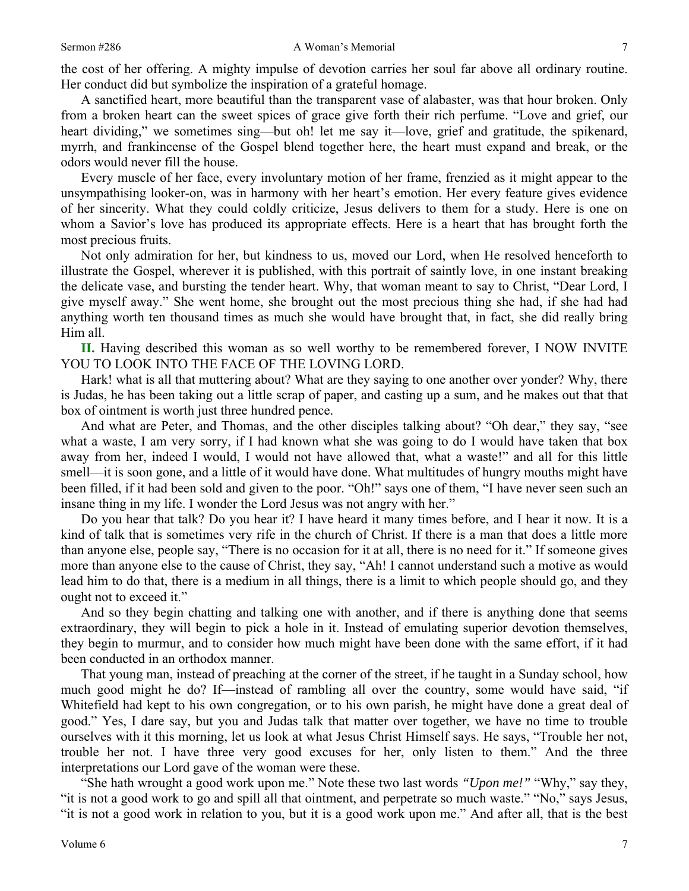the cost of her offering. A mighty impulse of devotion carries her soul far above all ordinary routine. Her conduct did but symbolize the inspiration of a grateful homage.

A sanctified heart, more beautiful than the transparent vase of alabaster, was that hour broken. Only from a broken heart can the sweet spices of grace give forth their rich perfume. "Love and grief, our heart dividing," we sometimes sing—but oh! let me say it—love, grief and gratitude, the spikenard, myrrh, and frankincense of the Gospel blend together here, the heart must expand and break, or the odors would never fill the house.

Every muscle of her face, every involuntary motion of her frame, frenzied as it might appear to the unsympathising looker-on, was in harmony with her heart's emotion. Her every feature gives evidence of her sincerity. What they could coldly criticize, Jesus delivers to them for a study. Here is one on whom a Savior's love has produced its appropriate effects. Here is a heart that has brought forth the most precious fruits.

Not only admiration for her, but kindness to us, moved our Lord, when He resolved henceforth to illustrate the Gospel, wherever it is published, with this portrait of saintly love, in one instant breaking the delicate vase, and bursting the tender heart. Why, that woman meant to say to Christ, "Dear Lord, I give myself away." She went home, she brought out the most precious thing she had, if she had had anything worth ten thousand times as much she would have brought that, in fact, she did really bring Him all.

**II.** Having described this woman as so well worthy to be remembered forever, I NOW INVITE YOU TO LOOK INTO THE FACE OF THE LOVING LORD.

Hark! what is all that muttering about? What are they saying to one another over yonder? Why, there is Judas, he has been taking out a little scrap of paper, and casting up a sum, and he makes out that that box of ointment is worth just three hundred pence.

And what are Peter, and Thomas, and the other disciples talking about? "Oh dear," they say, "see what a waste, I am very sorry, if I had known what she was going to do I would have taken that box away from her, indeed I would, I would not have allowed that, what a waste!" and all for this little smell—it is soon gone, and a little of it would have done. What multitudes of hungry mouths might have been filled, if it had been sold and given to the poor. "Oh!" says one of them, "I have never seen such an insane thing in my life. I wonder the Lord Jesus was not angry with her."

Do you hear that talk? Do you hear it? I have heard it many times before, and I hear it now. It is a kind of talk that is sometimes very rife in the church of Christ. If there is a man that does a little more than anyone else, people say, "There is no occasion for it at all, there is no need for it." If someone gives more than anyone else to the cause of Christ, they say, "Ah! I cannot understand such a motive as would lead him to do that, there is a medium in all things, there is a limit to which people should go, and they ought not to exceed it."

And so they begin chatting and talking one with another, and if there is anything done that seems extraordinary, they will begin to pick a hole in it. Instead of emulating superior devotion themselves, they begin to murmur, and to consider how much might have been done with the same effort, if it had been conducted in an orthodox manner.

That young man, instead of preaching at the corner of the street, if he taught in a Sunday school, how much good might he do? If—instead of rambling all over the country, some would have said, "if Whitefield had kept to his own congregation, or to his own parish, he might have done a great deal of good." Yes, I dare say, but you and Judas talk that matter over together, we have no time to trouble ourselves with it this morning, let us look at what Jesus Christ Himself says. He says, "Trouble her not, trouble her not. I have three very good excuses for her, only listen to them." And the three interpretations our Lord gave of the woman were these.

"She hath wrought a good work upon me." Note these two last words *"Upon me!"* "Why," say they, "it is not a good work to go and spill all that ointment, and perpetrate so much waste." "No," says Jesus, "it is not a good work in relation to you, but it is a good work upon me." And after all, that is the best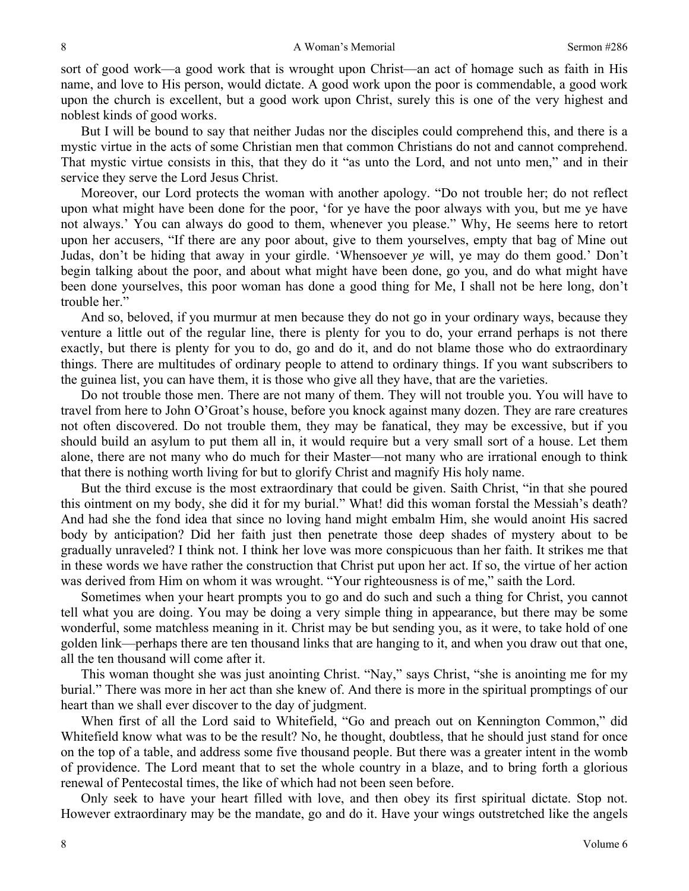sort of good work—a good work that is wrought upon Christ—an act of homage such as faith in His name, and love to His person, would dictate. A good work upon the poor is commendable, a good work upon the church is excellent, but a good work upon Christ, surely this is one of the very highest and noblest kinds of good works.

But I will be bound to say that neither Judas nor the disciples could comprehend this, and there is a mystic virtue in the acts of some Christian men that common Christians do not and cannot comprehend. That mystic virtue consists in this, that they do it "as unto the Lord, and not unto men," and in their service they serve the Lord Jesus Christ.

Moreover, our Lord protects the woman with another apology. "Do not trouble her; do not reflect upon what might have been done for the poor, 'for ye have the poor always with you, but me ye have not always.' You can always do good to them, whenever you please." Why, He seems here to retort upon her accusers, "If there are any poor about, give to them yourselves, empty that bag of Mine out Judas, don't be hiding that away in your girdle. 'Whensoever *ye* will, ye may do them good.' Don't begin talking about the poor, and about what might have been done, go you, and do what might have been done yourselves, this poor woman has done a good thing for Me, I shall not be here long, don't trouble her."

And so, beloved, if you murmur at men because they do not go in your ordinary ways, because they venture a little out of the regular line, there is plenty for you to do, your errand perhaps is not there exactly, but there is plenty for you to do, go and do it, and do not blame those who do extraordinary things. There are multitudes of ordinary people to attend to ordinary things. If you want subscribers to the guinea list, you can have them, it is those who give all they have, that are the varieties.

Do not trouble those men. There are not many of them. They will not trouble you. You will have to travel from here to John O'Groat's house, before you knock against many dozen. They are rare creatures not often discovered. Do not trouble them, they may be fanatical, they may be excessive, but if you should build an asylum to put them all in, it would require but a very small sort of a house. Let them alone, there are not many who do much for their Master—not many who are irrational enough to think that there is nothing worth living for but to glorify Christ and magnify His holy name.

But the third excuse is the most extraordinary that could be given. Saith Christ, "in that she poured this ointment on my body, she did it for my burial." What! did this woman forstal the Messiah's death? And had she the fond idea that since no loving hand might embalm Him, she would anoint His sacred body by anticipation? Did her faith just then penetrate those deep shades of mystery about to be gradually unraveled? I think not. I think her love was more conspicuous than her faith. It strikes me that in these words we have rather the construction that Christ put upon her act. If so, the virtue of her action was derived from Him on whom it was wrought. "Your righteousness is of me," saith the Lord.

Sometimes when your heart prompts you to go and do such and such a thing for Christ, you cannot tell what you are doing. You may be doing a very simple thing in appearance, but there may be some wonderful, some matchless meaning in it. Christ may be but sending you, as it were, to take hold of one golden link—perhaps there are ten thousand links that are hanging to it, and when you draw out that one, all the ten thousand will come after it.

This woman thought she was just anointing Christ. "Nay," says Christ, "she is anointing me for my burial." There was more in her act than she knew of. And there is more in the spiritual promptings of our heart than we shall ever discover to the day of judgment.

When first of all the Lord said to Whitefield, "Go and preach out on Kennington Common," did Whitefield know what was to be the result? No, he thought, doubtless, that he should just stand for once on the top of a table, and address some five thousand people. But there was a greater intent in the womb of providence. The Lord meant that to set the whole country in a blaze, and to bring forth a glorious renewal of Pentecostal times, the like of which had not been seen before.

Only seek to have your heart filled with love, and then obey its first spiritual dictate. Stop not. However extraordinary may be the mandate, go and do it. Have your wings outstretched like the angels

8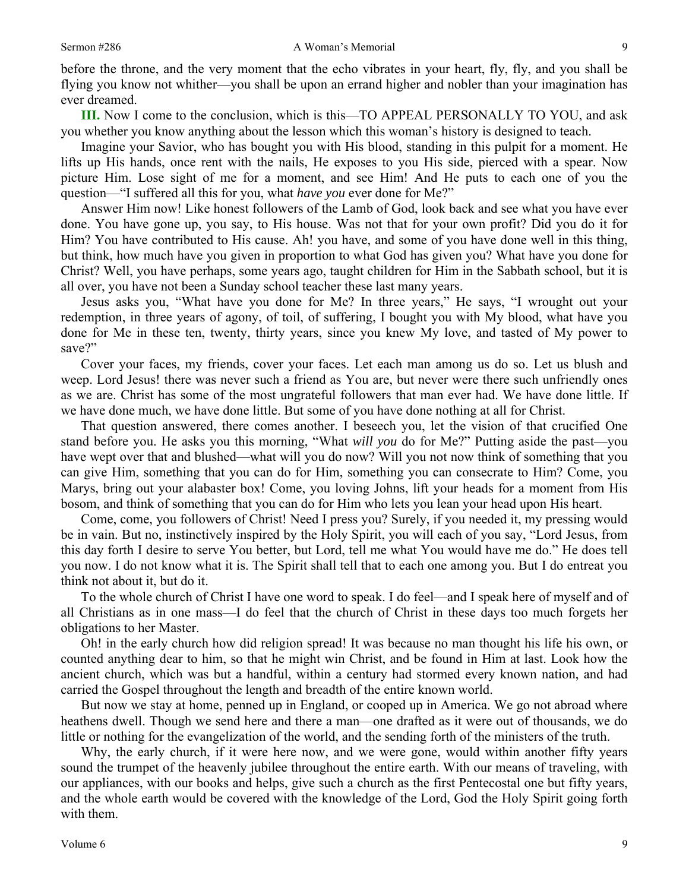before the throne, and the very moment that the echo vibrates in your heart, fly, fly, and you shall be flying you know not whither—you shall be upon an errand higher and nobler than your imagination has ever dreamed.

**III.** Now I come to the conclusion, which is this—TO APPEAL PERSONALLY TO YOU, and ask you whether you know anything about the lesson which this woman's history is designed to teach.

Imagine your Savior, who has bought you with His blood, standing in this pulpit for a moment. He lifts up His hands, once rent with the nails, He exposes to you His side, pierced with a spear. Now picture Him. Lose sight of me for a moment, and see Him! And He puts to each one of you the question—"I suffered all this for you, what *have you* ever done for Me?"

Answer Him now! Like honest followers of the Lamb of God, look back and see what you have ever done. You have gone up, you say, to His house. Was not that for your own profit? Did you do it for Him? You have contributed to His cause. Ah! you have, and some of you have done well in this thing, but think, how much have you given in proportion to what God has given you? What have you done for Christ? Well, you have perhaps, some years ago, taught children for Him in the Sabbath school, but it is all over, you have not been a Sunday school teacher these last many years.

Jesus asks you, "What have you done for Me? In three years," He says, "I wrought out your redemption, in three years of agony, of toil, of suffering, I bought you with My blood, what have you done for Me in these ten, twenty, thirty years, since you knew My love, and tasted of My power to save?"

Cover your faces, my friends, cover your faces. Let each man among us do so. Let us blush and weep. Lord Jesus! there was never such a friend as You are, but never were there such unfriendly ones as we are. Christ has some of the most ungrateful followers that man ever had. We have done little. If we have done much, we have done little. But some of you have done nothing at all for Christ.

That question answered, there comes another. I beseech you, let the vision of that crucified One stand before you. He asks you this morning, "What *will you* do for Me?" Putting aside the past—you have wept over that and blushed—what will you do now? Will you not now think of something that you can give Him, something that you can do for Him, something you can consecrate to Him? Come, you Marys, bring out your alabaster box! Come, you loving Johns, lift your heads for a moment from His bosom, and think of something that you can do for Him who lets you lean your head upon His heart.

Come, come, you followers of Christ! Need I press you? Surely, if you needed it, my pressing would be in vain. But no, instinctively inspired by the Holy Spirit, you will each of you say, "Lord Jesus, from this day forth I desire to serve You better, but Lord, tell me what You would have me do." He does tell you now. I do not know what it is. The Spirit shall tell that to each one among you. But I do entreat you think not about it, but do it.

To the whole church of Christ I have one word to speak. I do feel—and I speak here of myself and of all Christians as in one mass—I do feel that the church of Christ in these days too much forgets her obligations to her Master.

Oh! in the early church how did religion spread! It was because no man thought his life his own, or counted anything dear to him, so that he might win Christ, and be found in Him at last. Look how the ancient church, which was but a handful, within a century had stormed every known nation, and had carried the Gospel throughout the length and breadth of the entire known world.

But now we stay at home, penned up in England, or cooped up in America. We go not abroad where heathens dwell. Though we send here and there a man—one drafted as it were out of thousands, we do little or nothing for the evangelization of the world, and the sending forth of the ministers of the truth.

Why, the early church, if it were here now, and we were gone, would within another fifty years sound the trumpet of the heavenly jubilee throughout the entire earth. With our means of traveling, with our appliances, with our books and helps, give such a church as the first Pentecostal one but fifty years, and the whole earth would be covered with the knowledge of the Lord, God the Holy Spirit going forth with them.